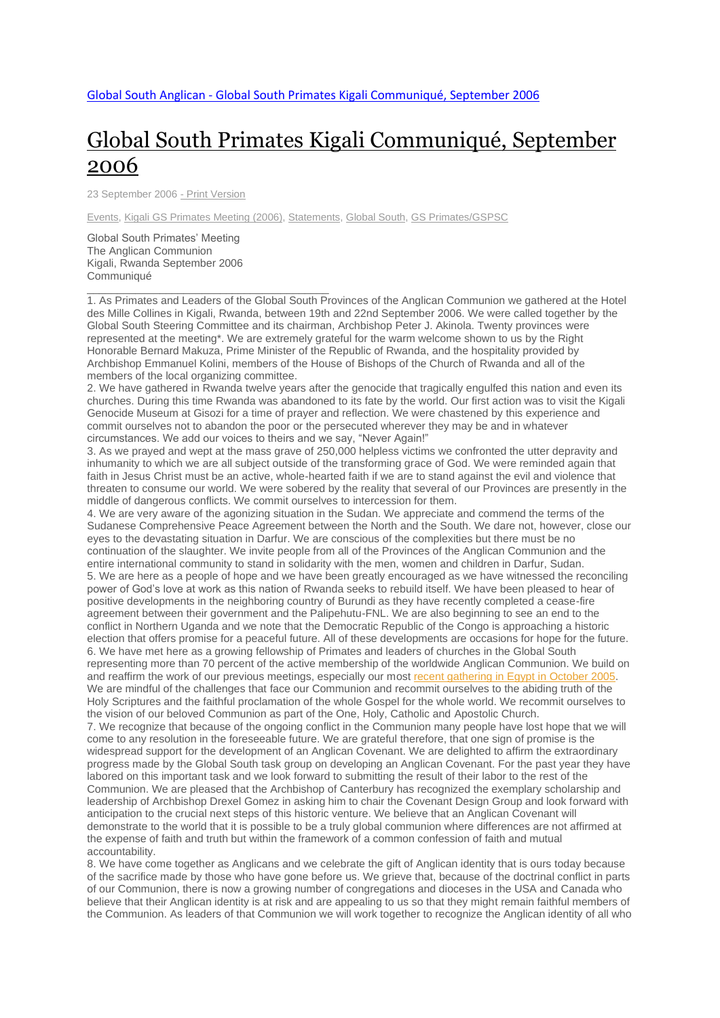# Global South Primates Kigali [Communiqué,](http://www.globalsouthanglican.org/index.php/blog/comments/kigali_communique) September [2006](http://www.globalsouthanglican.org/index.php/blog/comments/kigali_communique)

23 September 2006 - Print [Version](http://globalsouthanglican.org/index.php/blog/printing/kigali_communique)

[Events,](http://globalsouthanglican.org/index.php/archives/category/events) Kigali GS [Primates](http://globalsouthanglican.org/index.php/archives/category/Kigali_GS_Primates_Meeting_2006) Meeting (2006), [Statements,](http://globalsouthanglican.org/index.php/archives/category/statements) [Global](http://globalsouthanglican.org/index.php/archives/category/global_south) South, GS [Primates/GSPSC](http://globalsouthanglican.org/index.php/archives/category/gs_primates_gspsc)

Global South Primates' Meeting The Anglican Communion Kigali, Rwanda September 2006 Communiqué

\_\_\_\_\_\_\_\_\_\_\_\_\_\_\_\_\_\_\_\_\_\_\_\_\_\_\_\_\_\_\_\_\_\_\_\_\_\_\_\_

1. As Primates and Leaders of the Global South Provinces of the Anglican Communion we gathered at the Hotel des Mille Collines in Kigali, Rwanda, between 19th and 22nd September 2006. We were called together by the Global South Steering Committee and its chairman, Archbishop Peter J. Akinola. Twenty provinces were represented at the meeting\*. We are extremely grateful for the warm welcome shown to us by the Right Honorable Bernard Makuza, Prime Minister of the Republic of Rwanda, and the hospitality provided by Archbishop Emmanuel Kolini, members of the House of Bishops of the Church of Rwanda and all of the members of the local organizing committee.

2. We have gathered in Rwanda twelve years after the genocide that tragically engulfed this nation and even its churches. During this time Rwanda was abandoned to its fate by the world. Our first action was to visit the Kigali Genocide Museum at Gisozi for a time of prayer and reflection. We were chastened by this experience and commit ourselves not to abandon the poor or the persecuted wherever they may be and in whatever circumstances. We add our voices to theirs and we say, "Never Again!"

3. As we prayed and wept at the mass grave of 250,000 helpless victims we confronted the utter depravity and inhumanity to which we are all subject outside of the transforming grace of God. We were reminded again that faith in Jesus Christ must be an active, whole-hearted faith if we are to stand against the evil and violence that threaten to consume our world. We were sobered by the reality that several of our Provinces are presently in the middle of dangerous conflicts. We commit ourselves to intercession for them.

4. We are very aware of the agonizing situation in the Sudan. We appreciate and commend the terms of the Sudanese Comprehensive Peace Agreement between the North and the South. We dare not, however, close our eyes to the devastating situation in Darfur. We are conscious of the complexities but there must be no continuation of the slaughter. We invite people from all of the Provinces of the Anglican Communion and the entire international community to stand in solidarity with the men, women and children in Darfur, Sudan. 5. We are here as a people of hope and we have been greatly encouraged as we have witnessed the reconciling power of God's love at work as this nation of Rwanda seeks to rebuild itself. We have been pleased to hear of positive developments in the neighboring country of Burundi as they have recently completed a cease-fire agreement between their government and the Palipehutu-FNL. We are also beginning to see an end to the conflict in Northern Uganda and we note that the Democratic Republic of the Congo is approaching a historic election that offers promise for a peaceful future. All of these developments are occasions for hope for the future. 6. We have met here as a growing fellowship of Primates and leaders of churches in the Global South representing more than 70 percent of the active membership of the worldwide Anglican Communion. We build on and reaffirm the work of our previous meetings, especially our most recent [gathering](http://www.globalsouthanglican.org/index.php/comments/third_trumpet_communique_from_3rd_south_to_south_encounter/) in Egypt in October 2005. We are mindful of the challenges that face our Communion and recommit ourselves to the abiding truth of the Holy Scriptures and the faithful proclamation of the whole Gospel for the whole world. We recommit ourselves to the vision of our beloved Communion as part of the One, Holy, Catholic and Apostolic Church. 7. We recognize that because of the ongoing conflict in the Communion many people have lost hope that we will come to any resolution in the foreseeable future. We are grateful therefore, that one sign of promise is the widespread support for the development of an Anglican Covenant. We are delighted to affirm the extraordinary progress made by the Global South task group on developing an Anglican Covenant. For the past year they have labored on this important task and we look forward to submitting the result of their labor to the rest of the Communion. We are pleased that the Archbishop of Canterbury has recognized the exemplary scholarship and leadership of Archbishop Drexel Gomez in asking him to chair the Covenant Design Group and look forward with anticipation to the crucial next steps of this historic venture. We believe that an Anglican Covenant will

demonstrate to the world that it is possible to be a truly global communion where differences are not affirmed at the expense of faith and truth but within the framework of a common confession of faith and mutual accountability.

8. We have come together as Anglicans and we celebrate the gift of Anglican identity that is ours today because of the sacrifice made by those who have gone before us. We grieve that, because of the doctrinal conflict in parts of our Communion, there is now a growing number of congregations and dioceses in the USA and Canada who believe that their Anglican identity is at risk and are appealing to us so that they might remain faithful members of the Communion. As leaders of that Communion we will work together to recognize the Anglican identity of all who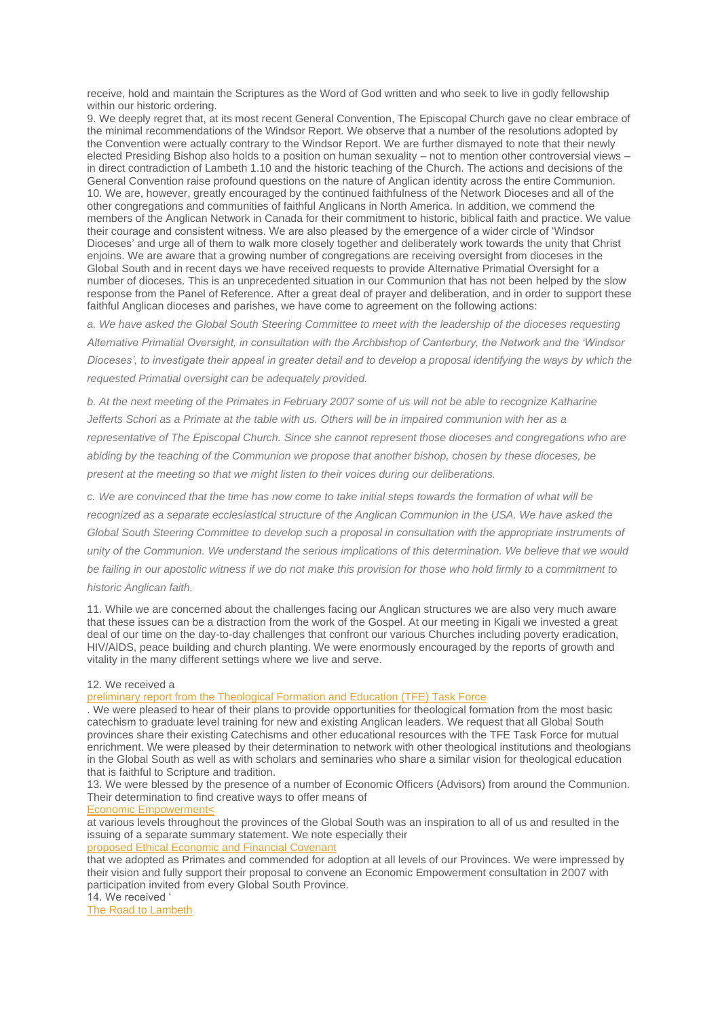receive, hold and maintain the Scriptures as the Word of God written and who seek to live in godly fellowship within our historic ordering.

9. We deeply regret that, at its most recent General Convention, The Episcopal Church gave no clear embrace of the minimal recommendations of the Windsor Report. We observe that a number of the resolutions adopted by the Convention were actually contrary to the Windsor Report. We are further dismayed to note that their newly elected Presiding Bishop also holds to a position on human sexuality – not to mention other controversial views – in direct contradiction of Lambeth 1.10 and the historic teaching of the Church. The actions and decisions of the General Convention raise profound questions on the nature of Anglican identity across the entire Communion. 10. We are, however, greatly encouraged by the continued faithfulness of the Network Dioceses and all of the other congregations and communities of faithful Anglicans in North America. In addition, we commend the members of the Anglican Network in Canada for their commitment to historic, biblical faith and practice. We value their courage and consistent witness. We are also pleased by the emergence of a wider circle of 'Windsor Dioceses' and urge all of them to walk more closely together and deliberately work towards the unity that Christ enjoins. We are aware that a growing number of congregations are receiving oversight from dioceses in the Global South and in recent days we have received requests to provide Alternative Primatial Oversight for a number of dioceses. This is an unprecedented situation in our Communion that has not been helped by the slow response from the Panel of Reference. After a great deal of prayer and deliberation, and in order to support these faithful Anglican dioceses and parishes, we have come to agreement on the following actions:

*a. We have asked the Global South Steering Committee to meet with the leadership of the dioceses requesting Alternative Primatial Oversight, in consultation with the Archbishop of Canterbury, the Network and the 'Windsor Dioceses', to investigate their appeal in greater detail and to develop a proposal identifying the ways by which the requested Primatial oversight can be adequately provided.*

*b. At the next meeting of the Primates in February 2007 some of us will not be able to recognize Katharine*  Jefferts Schori as a Primate at the table with us. Others will be in impaired communion with her as a *representative of The Episcopal Church. Since she cannot represent those dioceses and congregations who are abiding by the teaching of the Communion we propose that another bishop, chosen by these dioceses, be present at the meeting so that we might listen to their voices during our deliberations.*

*c. We are convinced that the time has now come to take initial steps towards the formation of what will be recognized as a separate ecclesiastical structure of the Anglican Communion in the USA. We have asked the Global South Steering Committee to develop such a proposal in consultation with the appropriate instruments of unity of the Communion. We understand the serious implications of this determination. We believe that we would be failing in our apostolic witness if we do not make this provision for those who hold firmly to a commitment to historic Anglican faith.*

11. While we are concerned about the challenges facing our Anglican structures we are also very much aware that these issues can be a distraction from the work of the Gospel. At our meeting in Kigali we invested a great deal of our time on the day-to-day challenges that confront our various Churches including poverty eradication, HIV/AIDS, peace building and church planting. We were enormously encouraged by the reports of growth and vitality in the many different settings where we live and serve.

#### 12. We received a

preliminary report from the [Theological](http://www.globalsouthanglican.org/index.php/comments/global_south_anglican_theological_formation_and_education_task_force_kigali/) Formation and Education (TFE) Task Force

. We were pleased to hear of their plans to provide opportunities for theological formation from the most basic catechism to graduate level training for new and existing Anglican leaders. We request that all Global South provinces share their existing Catechisms and other educational resources with the TFE Task Force for mutual enrichment. We were pleased by their determination to network with other theological institutions and theologians in the Global South as well as with scholars and seminaries who share a similar vision for theological education that is faithful to Scripture and tradition.

13. We were blessed by the presence of a number of Economic Officers (Advisors) from around the Communion. Their determination to find creative ways to offer means of

### Economic [Empowerment<](http://www.globalsouthanglican.org/index.php/comments/global_south_economic_empowerment_track_summary_statement_kigali_september/)

at various levels throughout the provinces of the Global South was an inspiration to all of us and resulted in the issuing of a separate summary statement. We note especially their

## proposed Ethical [Economic](http://www.globalsouthanglican.org/index.php/comments/ethical_economic_and_financial_covenant_global_south_primates_kigali_septem/) and Financial Covenant

that we adopted as Primates and commended for adoption at all levels of our Provinces. We were impressed by their vision and fully support their proposal to convene an Economic Empowerment consultation in 2007 with participation invited from every Global South Province. 14. We received '

The Road to [Lambeth](http://www.globalsouthanglican.org/index.php/comments/the_road_to_lambeth_presented_at_capa/)